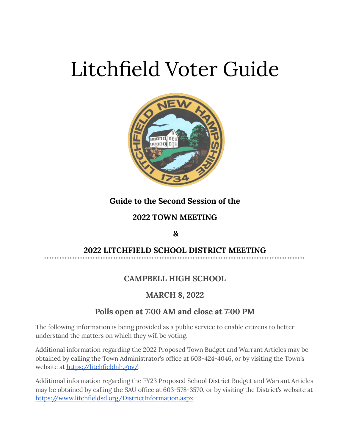# Litchfield Voter Guide



### **Guide to the Second Session of the**

### **2022 TOWN MEETING**

### **&**

### **2022 LITCHFIELD SCHOOL DISTRICT MEETING**

### **CAMPBELL HIGH SCHOOL**

### **MARCH 8, 2022**

### **Polls open at 7:00 AM and close at 7:00 PM**

The following information is being provided as a public service to enable citizens to better understand the matters on which they will be voting.

Additional information regarding the 2022 Proposed Town Budget and Warrant Articles may be obtained by calling the Town Administrator's office at 603-424-4046, or by visiting the Town's website at <https://litchfieldnh.gov/>.

Additional information regarding the FY23 Proposed School District Budget and Warrant Articles may be obtained by calling the SAU office at 603-578-3570, or by visiting the District's website at [https://www.litchfieldsd.org/DistrictInformation.aspx.](https://www.litchfieldsd.org/DistrictInformation.aspx)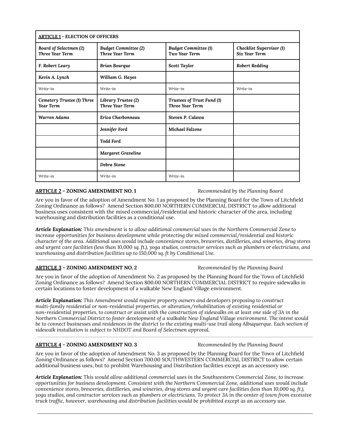| <b>ARTICLE 1 - ELECTION OF OFFICERS</b>        |                                                       |                                                       |                                                  |
|------------------------------------------------|-------------------------------------------------------|-------------------------------------------------------|--------------------------------------------------|
| Board of Selectmen (2)<br>Three Year Term      | <b>Budget Committee (2)</b><br><b>Three Year Term</b> | <b>Budget Committee (1)</b><br>Two Year Term          | Checklist Supervisor (1)<br><b>Six Year Term</b> |
| F. Robert Leary                                | <b>Brian Bourque</b>                                  | Scott Taylor                                          | <b>Robert Redding</b>                            |
| Kevin A. Lynch                                 | William G. Hayes                                      |                                                       |                                                  |
| Write-in                                       | Write-in                                              | Write-in                                              | Write-in                                         |
| Cemetery Trustee (1) Three<br><b>Year Term</b> | Library Trustee (2)<br><b>Three Year Term.</b>        | Trustees of Trust Fund (1)<br><b>Three Year Term.</b> |                                                  |
| <b>Warren Adams</b>                            | Erica Charbonneau                                     | Steven P. Calawa                                      |                                                  |
|                                                | Jennifer Ford                                         | Michael Falzone                                       |                                                  |
|                                                | <b>Todd Ford</b>                                      |                                                       |                                                  |
|                                                | <b>Margaret Graveline</b>                             |                                                       |                                                  |
|                                                | Debra Stone                                           |                                                       |                                                  |
| Write-in                                       | Write-in                                              | Write-in                                              |                                                  |

#### **ARTICLE 2 - ZONING AMENDMENT NO. 1** *Recommended by the Planning Board*

Are you in favor of the adoption of Amendment No. 1 as proposed by the Planning Board for the Town of Litchfield Zoning Ordinance as follows? Amend Section 800.00 NORTHERN COMMERCIAL DISTRICT to allow additional business uses consistent with the mixed commercial/residential and historic character of the area, including warehousing and distribution facilities as a conditional use.

*Article Explanation: This amendment is to allow additional commercial uses in the Northern Commercial Zone to increase opportunities for business development while protecting the mixed commercial/residential and historic* character of the area. Additional uses would include convenience stores, breweries, distilleries, and wineries, drug stores and urgent care facilities (less than 10,000 sq. ft.), yoga studios, contractor services such as plumbers or electricians, and *warehousing and distribution facilities up to 150,000 sq. ft by Conditional Use.*

### **ARTICLE 3 - ZONING AMENDMENT NO. 2** *Recommended by the Planning Board*

Are you in favor of the adoption of Amendment No. 2 as proposed by the Planning Board for the Town of Litchfield Zoning Ordinance as follows? Amend Section 800.00 NORTHERN COMMERCIAL DISTRICT to require sidewalks in certain locations to foster development of a walkable New England Village environment.

*Article Explanation: This Amendment would require property owners and developers proposing to construct multi-family residential or non-residential properties, or alteration/rehabilitation of existing residential or* non-residential properties, to construct or assist with the construction of sidewalks on at least one side of 3A in the Northern Commercial District to foster development of a walkable New England Village environment. The intent would be to connect businesses and residences in the district to the existing multi-use trail along Albuquerque. Each section of *sidewalk installation is subject to NHDOT and Board of Selectmen approval.*

### **ARTICLE 4 - ZONING AMENDMENT NO. 3** *Recommended by the Planning Board*

Are you in favor of the adoption of Amendment No. 3 as proposed by the Planning Board for the Town of Litchfield Zoning Ordinance as follows? Amend Section 700.00 SOUTHWESTERN COMMERCIAL DISTRICT to allow certain additional business uses, but to prohibit Warehousing and Distribution facilities except as an accessory use.

*Article Explanation: This would allow additional commercial uses in the Southwestern Commercial Zone, to increase opportunities for business development. Consistent with the Northern Commercial Zone, additional uses would include* convenience stores, breweries, distilleries, and wineries, drug stores and urgent care facilities (less than 10,000 sq. ft.), yoga studios, and contractor services such as plumbers or electricians. To protect 3A in the center of town from excessive *truck traffic, however, warehousing and distribution facilities would be prohibited except as an accessory use.*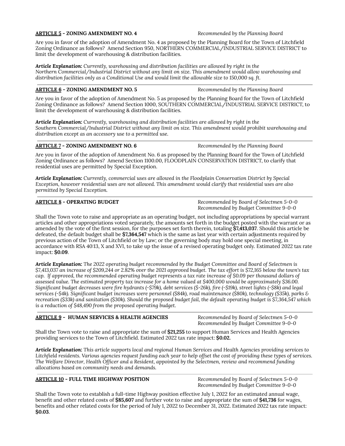#### **ARTICLE 5 - ZONING AMENDMENT NO. 4** *Recommended by the Planning Board*

Are you in favor of the adoption of Amendment No. 4 as proposed by the Planning Board for the Town of Litchfield Zoning Ordinance as follows? Amend Section 950, NORTHERN COMMERCIAL/INDUSTRIAL SERVICE DISTRICT to limit the development of warehousing & distribution facilities.

*Article Explanation: Currently, warehousing and distribution facilities are allowed by right in the Northern Commercial/Industrial District without any limit on size. This amendment would allow warehousing and distribution facilities only as a Conditional Use and would limit the allowable size to 150,000 sq. ft.*

#### **ARTICLE 6 - ZONING AMENDMENT NO. 5** *Recommended by the Planning Board*

Are you in favor of the adoption of Amendment No. 5 as proposed by the Planning Board for the Town of Litchfield Zoning Ordinance as follows? Amend Section 1000, SOUTHERN COMMERCIAL/INDUSTRIAL SERVICE DISTRICT, to limit the development of warehousing & distribution facilities.

*Article Explanation: Currently, warehousing and distribution facilities are allowed by right in the Southern Commercial/Industrial District without any limit on size. This amendment would prohibit warehousing and distribution except as an accessory use to a permitted use.*

#### **ARTICLE 7 - ZONING AMENDMENT NO. 6** *Recommended by the Planning Board*

Are you in favor of the adoption of Amendment No. 6 as proposed by the Planning Board for the Town of Litchfield Zoning Ordinance as follows? Amend Section 1100.00, FLOODPLAIN CONSERVATION DISTRICT, to clarify that residential uses are permitted by Special Exception.

*Article Explanation: Currently, commercial uses are allowed in the Floodplain Conservation District by Special Exception, however residential uses are not allowed. This amendment would clarify that residential uses are also permitted by Special Exception.*

**ARTICLE 8 - OPERATING BUDGET** *Recommended by Board of Selectmen 5-0-0 Recommended by Budget Committee 9-0-0*

Shall the Town vote to raise and appropriate as an operating budget, not including appropriations by special warrant articles and other appropriations voted separately, the amounts set forth in the budget posted with the warrant or as amended by the vote of the first session, for the purposes set forth therein, totaling **\$7,413,037**. Should this article be defeated, the default budget shall be **\$7,364,547** which is the same as last year with certain adjustments required by previous action of the Town of Litchfield or by Law; or the governing body may hold one special meeting, in accordance with RSA 40:13, X and XVI, to take up the issue of a revised operating budget only. Estimated 2022 tax rate impact: **\$0.09**.

*Article Explanation: The 2022 operating budget recommended by the Budget Committee and Board of Selectmen is* \$7,413,037 an increase of \$209,244 or 2.82% over the 2021 approved budget. The tax effort is \$72,165 below the town's tax cap. If approved, the recommended operating budget represents a tax rate increase of \$0.09 per thousand dollars of assessed value. The estimated property tax increase for a home valued at \$400,000 would be approximately \$36.00. Significant budget decreases were fire hydrants (-\$79k), debt services (\$-26k), fire (-\$19k), street lights (-\$8k) and legal services (-\$4k). Significant budget increases were personnel (\$84k), road maintenance (\$80k), technology (\$35k), parks & recreation (\$33k) and sanitation (\$30k). Should the proposed budget fail, the default operating budget is \$7,364,547 which *is a reduction of \$48,490 from the proposed operating budget.*

#### **ARTICLE 9 - HUMAN SERVICES & HEALTH AGENCIES** *Recommended by Board of Selectmen 5-0-0*

*Recommended by Budget Committee 9-0-0*

Shall the Town vote to raise and appropriate the sum of **\$21,255** to support Human Services and Health Agencies providing services to the Town of Litchfield. Estimated 2022 tax rate impact: **\$0.02.**

Article Explanation: This article supports local and regional Human Services and Health Agencies providing services to Litchfield residents. Various agencies request funding each year to help offset the cost of providing these types of services. *The Welfare Director, Health Officer and a Resident, appointed by the Selectmen, review and recommend funding allocations based on community needs and demands.*

#### **ARTICLE 10 - FULL TIME HIGHWAY POSITION** *Recommended by Board of Selectmen 5-0-0*

*Recommended by Budget Committee 9-0-0*

Shall the Town vote to establish a full-time Highway position effective July 1, 2022 for an estimated annual wage, benefit and other related costs of **\$85,607** and further vote to raise and appropriate the sum of **\$41,736** for wages, benefits and other related costs for the period of July 1, 2022 to December 31, 2022. Estimated 2022 tax rate impact: **\$0.03**.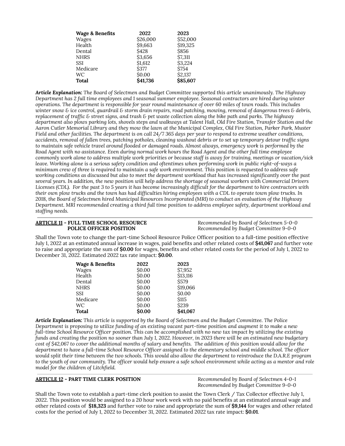| <b>Wage &amp; Benefits</b> | 2022     | 2023     |
|----------------------------|----------|----------|
| Wages                      | \$26,000 | \$52,000 |
| Health                     | \$9,663  | \$19,325 |
| Dental                     | \$428    | \$856    |
| <b>NHRS</b>                | \$3,656  | \$7,311  |
| SSI                        | \$1,612  | \$3,224  |
| Medicare                   | S377     | \$754    |
| WC                         | \$0.00   | \$2,137  |
| <b>Total</b>               | \$41,736 | \$85,607 |

*Article Explanation: The Board of Selectmen and Budget Committee supported this article unanimously. The Highway* Department has 2 full time employees and 1 seasonal summer employee. Seasonal contractors are hired during winter operations. The department is responsible for year round maintenance of over 60 miles of town roads. This includes winter snow & ice control, guardrail & storm drain repairs, road patching, mowing, removal of dangerous trees & debris, replacement of traffic & street signs, and trash & pet waste collection along the bike path and parks. The highway department also plows parking lots, shovels steps and walkways at Talent Hall, Old Fire Station, Transfer Station and the Aaron Cutler Memorial Library and they mow the lawn at the Municipal Complex, Old Fire Station, Parker Park, Muster Field and other facilities. The department is on call 24/7 365 days per year to respond to extreme weather conditions, accidents, removal of fallen trees, patching potholes, cleaning washout debris or to set up temporary detour traffic signs to maintain safe vehicle travel around flooded or damaged roads. Almost always, emergency work is performed by the Road Agent with no assistance. Even during normal work hours the Road Agent and the other full time employee commonly work alone to address multiple work priorities or because staff is away for training, meetings or vacation/sick leave. Working alone is a serious safety condition and oftentimes when performing work in public right-of-ways a minimum crew of three is required to maintain a safe work environment. This position is requested to address safe working conditions as discussed but also to meet the department workload that has increased significantly over the past several years. In addition, the new position will help address the shortage of seasonal workers with Commercial Drivers Licenses (CDL). For the past 3 to 5 years it has become increasingly difficult for the department to hire contractors with their own plow trucks and the town has had difficulties hiring employees with a CDL to operate town plow trucks. In 2018, the Board of Selectmen hired Municipal Resources Incorporated (MRI) to conduct an evaluation of the Highway Department. MRI recommended creating a third full time position to address employee safety, department workload and *staffing needs.*

# **ARTICLE 11 - FULL TIME SCHOOL RESOURCE** *Recommended by Board of Selectmen 5-0-0*

**POLICE OFFICER POSITION** *Recommended by Budget Committee 9-0-0*

Shall the Town vote to change the part-time School Resource Police Officer position to a full-time position effective July 1, 2022 at an estimated annual increase in wages, paid benefits and other related costs of **\$41,067** and further vote to raise and appropriate the sum of **\$0.00** for wages, benefits and other related costs for the period of July 1, 2022 to December 31, 2022. Estimated 2022 tax rate impact: **\$0.00**.

| <b>Wage &amp; Benefits</b> | 2022   | 2023         |
|----------------------------|--------|--------------|
| Wages                      | \$0.00 | \$7,952      |
| Health                     | \$0.00 | \$13,116     |
| Dental                     | \$0.00 | <b>\$579</b> |
| <b>NHRS</b>                | \$0.00 | \$19,066     |
| SSI                        | \$0.00 | \$0.00       |
| Medicare                   | \$0.00 | <b>S115</b>  |
| WC                         | \$0.00 | \$239        |
| <b>Total</b>               | \$0.00 | \$41,067     |

**Article Explanation:** This article is supported by the Board of Selectmen and the Budget Committee. The Police Department is proposing to utilize funding of an existing vacant part-time position and augment it to make a new full-time School Resource Officer position. This can be accomplished with no new tax impact by utilizing the existing funds and creating the position no sooner than July 1, 2022. However, in 2023 there will be an estimated new budgetary cost of \$42,067 to cover the additional months of salary and benefits. The addition of this position would allow for the department to have a full-time School Resource Officer assigned to the elementary school and middle school. The officer would split their time between the two schools. This would also allow the department to reintroduce the D.A.R.E program to the youth of our community. The officer would help ensure a safe school environment while acting as a mentor and role *model for the children of Litchfield.*

#### **ARTICLE 12 - PART TIME CLERK POSITION** *Recommended by Board of Selectmen 4-0-1*

*Recommended by Budget Committee 9-0-0*

Shall the Town vote to establish a part-time clerk position to assist the Town Clerk / Tax Collector effective July 1, 2022. This position would be assigned to a 20 hour work week with no paid benefits at an estimated annual wage and other related costs of **\$18,323** and further vote to raise and appropriate the sum of **\$9,144** for wages and other related costs for the period of July 1, 2022 to December 31, 2022. Estimated 2022 tax rate impact: **\$0.01**.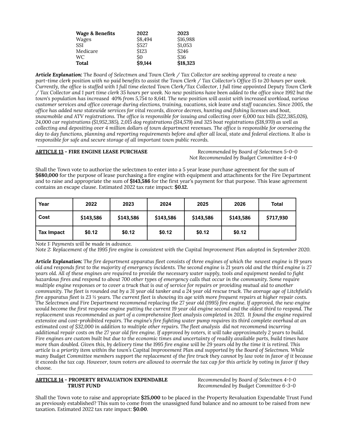| Wage & Benefits | 2022          | 2023       |
|-----------------|---------------|------------|
| Wages           | \$8.494       | \$16,988   |
| <b>SSI</b>      | <b>\$527</b>  | \$1,053    |
| Medicare        | \$123         | \$246      |
| WC.             | Ś0            | <b>S36</b> |
| <b>Total</b>    | <b>S9.144</b> | \$18,323   |

Article Explanation: The Board of Selectmen and Town Clerk / Tax Collector are seeking approval to create a new part-time clerk position with no paid benefits to assist the Town Clerk / Tax Collector's Office 15 to 20 hours per week. Currently, the office is staffed with 1 full time elected Town Clerk/Tax Collector, 1 full time appointed Deputy Town Clerk / Tax Collector and 1 part time clerk 35 hours per week. No new positions have been added to the office since 1992 but the town's population has increased 40% from 5,754 to 8,641. The new position will assist with increased workload, various customer services and office coverage during elections, training, vacations, sick leave and staff vacancies. Since 2005, the office has added new statewide services for vital records, divorce decrees, hunting and fishing licenses and boat, snowmobile and ATV registrations. The office is responsible for issuing and collecting over 6,000 tax bills (\$22,385,026), 24,000 car registrations (\$1,952,385), 2,015 dog registrations (\$14,579) and 325 boat registrations (\$18,970) as well as collecting and depositing over 4 million dollars of town department revenues. The office is responsible for overseeing the day to day functions, planning and reporting requirements before and after all local, state and federal elections. It also is *responsible for safe and secure storage of all important town public records.*

#### **ARTICLE 13 - FIRE ENGINE LEASE PURCHASE** *Recommended by Board of Selectmen 5-0-0*

*Not Recommended by Budget Committee 4-4-0*

Shall the Town vote to authorize the selectmen to enter into a 5 year lease purchase agreement for the sum of **\$680,000** for the purpose of lease purchasing a fire engine with equipment and attachments for the Fire Department and to raise and appropriate the sum of **\$143,586** for the first year's payment for that purpose. This lease agreement contains an escape clause. Estimated 2022 tax rate impact: **\$0.12.**

| Year              | 2022      | 2023      | 2024      | 2025      | 2026      | Total     |
|-------------------|-----------|-----------|-----------|-----------|-----------|-----------|
| Cost              | \$143,586 | \$143,586 | \$143,586 | \$143,586 | \$143,586 | \$717,930 |
| <b>Tax Impact</b> | \$0.12    | \$0.12    | \$0.12    | \$0.12    | \$0.12    |           |

*Note 1: Payments will be made in advance.*

Note 2: Replacement of the 1995 fire engine is consistent with the Capital Improvement Plan adopted in September 2020.

**Article Explanation:** The fire department apparatus fleet consists of three engines of which the newest engine is 19 years old and responds first to the majority of emergency incidents. The second engine is 21 years old and the third engine is 27 years old. All of these engines are required to provide the necessary water supply, tools and equipment needed to fight hazardous fires and respond to about 700 other types of emergency calls that occur in the community. Some require multiple engine responses or to cover a truck that is out of service for repairs or providing mutual aid to another community. The fleet is rounded out by a 31 year old tanker and a 24 year old rescue truck. The average age of Litchfield's fire apparatus fleet is 23 ½ years. The current fleet is showing its age with more frequent repairs at higher repair costs. The Selectmen and Fire Department recommend replacing the 27 year old (1995) fire engine. If approved, the new engine would become the first response engine putting the current 19 year old engine second and the oldest third to respond. The replacement was recommended as part of a comprehensive fleet analysis completed in 2021. It found the engine required extensive and cost-prohibited repairs. The engine's fire fighting water pump requires its third complete overhaul at an estimated cost of \$32,000 in addition to multiple other repairs. The fleet analysis did not recommend incurring additional repair costs on the 27 year old fire engine. If approved by voters, it will take approximately 2 years to build. Fire engines are custom built but due to the economic times and uncertainty of readily available parts, build times have more than doubled. Given this, by delivery time the 1995 fire engine will be 29 years old by the time it is retired. This article is a priority item within the town's Capital Improvement Plan and supported by the Board of Selectmen. While many Budget Committee members support the replacement of the fire truck they cannot by law vote in favor of it because it exceeds the tax cap. However, town voters are allowed to overrule the tax cap for this article by voting in favor if they *choose.*

#### **ARTICLE 14 - PROPERTY REVALUATION EXPENDABLE** *Recommended by Board of Selectmen 4-1-0* **TRUST FUND** *Recommended by Budget Committee 6-3-0*

Shall the Town vote to raise and appropriate **\$25,000** to be placed in the Property Revaluation Expendable Trust Fund as previously established? This sum to come from the unassigned fund balance and no amount to be raised from new taxation. Estimated 2022 tax rate impact: **\$0.00**.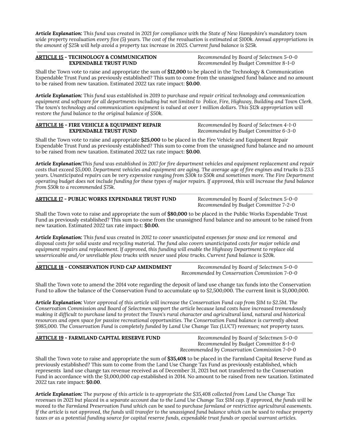Article Explanation: This fund was created in 2021 for compliance with the State of New Hampshire's mandatory town wide property revaluation every five (5) years. The cost of the revaluation is estimated at \$100k. Annual appropriations in *the amount of \$25k will help avoid a property tax increase in 2025. Current fund balance is \$25k.*

# **ARTICLE 15 - TECHNOLOGY & COMMUNICATION** *Recommended by Board of Selectmen 5-0-0*

**EXPENDABLE TRUST FUND** *Recommended by Budget Committee 8-1-0*

Shall the Town vote to raise and appropriate the sum of **\$12,000** to be placed in the Technology & Communication Expendable Trust Fund as previously established? This sum to come from the unassigned fund balance and no amount to be raised from new taxation. Estimated 2022 tax rate impact: **\$0.00**.

Article Explanation: This fund was established in 2019 to purchase and repair critical technology and communication equipment and software for all departments including but not limited to Police, Fire, Highway, Building and Town Clerk. The town's technology and communication equipment is valued at over 1 million dollars. This \$12k appropriation will *restore the fund balance to the original balance of \$50k.*

| <b>ARTICLE 16 - FIRE VEHICLE &amp; EQUIPMENT REPAIR</b> | Recommended by Board of Selectmen 4-1-0 |
|---------------------------------------------------------|-----------------------------------------|
| <b>EXPENDABLE TRUST FUND</b>                            | Recommended by Budget Committee 6-3-0   |

Shall the Town vote to raise and appropriate **\$25,000** to be placed in the Fire Vehicle and Equipment Repair Expendable Trust Fund as previously established? This sum to come from the unassigned fund balance and no amount to be raised from new taxation. Estimated 2022 tax rate impact: **\$0.00.**

Article Explanation: This fund was established in 2017 for fire department vehicles and equipment replacement and repair costs that exceed \$5,000. Department vehicles and equipment are aging. The average age of fire engines and trucks is 23.5 years. Unanticipated repairs can be very expensive ranging from \$30k to \$50k and sometimes more. The Fire Department operating budget does not include funding for these types of major repairs. If approved, this will increase the fund balance *from \$50k to a recommended \$75k.*

#### **ARTICLE 17 - PUBLIC WORKS EXPENDABLE TRUST FUND** *Recommended by Board of Selectmen 5-0-0*

*Recommended by Budget Committee 7-2-0*

Shall the Town vote to raise and appropriate the sum of **\$80,000** to be placed in the Public Works Expendable Trust Fund as previously established? This sum to come from the unassigned fund balance and no amount to be raised from new taxation. Estimated 2022 tax rate impact: **\$0.00.**

Article Explanation: This fund was created in 2012 to cover unanticipated expenses for snow and ice removal and disposal costs for solid waste and recycling material. The fund also covers unanticipated costs for major vehicle and *equipment repairs and replacement. If approved, this funding will enable the Highway Department to replace old unserviceable and/or unreliable plow trucks with newer used plow trucks. Current fund balance is \$20k.*

#### **ARTICLE 18 - CONSERVATION FUND CAP AMENDMENT** *Recommended by Board of Selectmen 5-0-0*

*Recommended by Conservation Commission 7-0-0*

Shall the Town vote to amend the 2014 vote regarding the deposit of land use change tax funds into the Conservation Fund to allow the balance of the Conservation Fund to accumulate up to \$2,500,000. The current limit is \$1,000,000.

Article Explanation: Voter approval of this article will increase the Conservation Fund cap from \$1M to \$2.5M. The *Conservation Commission and Board of Selectmen support the article because land costs have increased tremendously* making it difficult to purchase land to protect the Town's rural character and agricultural land, natural and historical *resources and open space for passive recreational opportunities. The Conservation Fund balance is currently about* \$985,000. The Conservation Fund is completely funded by Land Use Change Tax (LUCT) revenues; not property taxes.

#### **ARTICLE 19 - FARMLAND CAPITAL RESERVE FUND** *Recommended by Board of Selectmen 5-0-0*

*Recommended by Budget Committee 8-1-0 Recommended by Conservation Commission 7-0-0*

Shall the Town vote to raise and appropriate the sum of **\$35,408** to be placed in the Farmland Capital Reserve Fund as previously established? This sum to come from the Land Use Change Tax Fund as previously established, which represents land use change tax revenue received as of December 31, 2021 but not transferred to the Conservation Fund in accordance with the \$1,000,000 cap established in 2014. No amount to be raised from new taxation. Estimated 2022 tax rate impact: **\$0.00**.

Article Explanation: The purpose of this article is to appropriate the \$35,408 collected from Land Use Change Tax revenues in 2021 but placed in a separate account due to the Land Use Change Tax \$1M cap. If approved, the funds will be moved to the Farmland Preservation Fund which can be used to purchase farmland or restrictive agricultural easements. If the article is not approved, the funds will transfer to the unassigned fund balance which can be used to reduce property taxes or as a potential funding source for capital reserve funds, expendable trust funds or special warrant articles.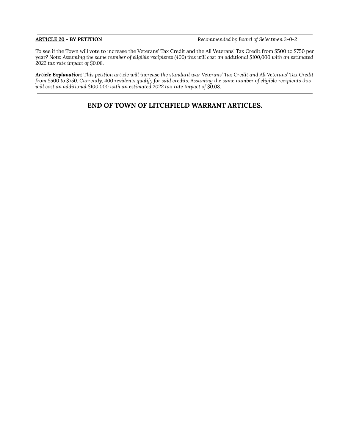**ARTICLE 20 - BY PETITION** *Recommended by Board of Selectmen 3-0-2*

To see if the Town will vote to increase the Veterans' Tax Credit and the All Veterans' Tax Credit from \$500 to \$750 per year? Note: Assuming the same number of eligible recipients (400) this will cost an additional \$100,000 with an estimated *2022 tax rate impact of \$0.08.*

Article Explanation: This petition article will increase the standard war Veterans' Tax Credit and All Veterans' Tax Credit from \$500 to \$750. Currently, 400 residents qualify for said credits. Assuming the same number of eligible recipients this *will cost an additional \$100,000 with an estimated 2022 tax rate Impact of \$0.08.*

### **END OF TOWN OF LITCHFIELD WARRANT ARTICLES.**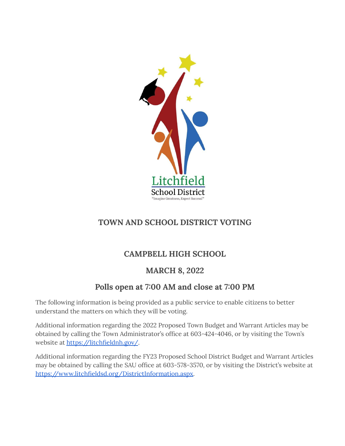

### **TOWN AND SCHOOL DISTRICT VOTING**

### **CAMPBELL HIGH SCHOOL**

### **MARCH 8, 2022**

# **Polls open at 7:00 AM and close at 7:00 PM**

The following information is being provided as a public service to enable citizens to better understand the matters on which they will be voting.

Additional information regarding the 2022 Proposed Town Budget and Warrant Articles may be obtained by calling the Town Administrator's office at 603-424-4046, or by visiting the Town's website at <https://litchfieldnh.gov/>.

Additional information regarding the FY23 Proposed School District Budget and Warrant Articles may be obtained by calling the SAU office at 603-578-3570, or by visiting the District's website at [https://www.litchfieldsd.org/DistrictInformation.aspx.](https://www.litchfieldsd.org/DistrictInformation.aspx)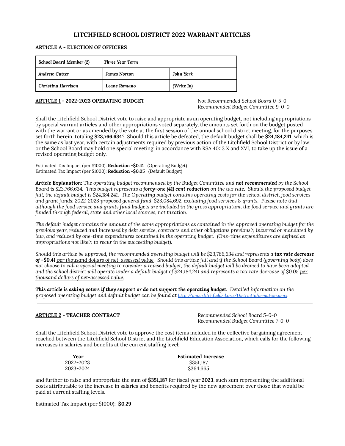### **LITCHFIELD SCHOOL DISTRICT 2022 WARRANT ARTICLES**

#### **ARTICLE A - ELECTION OF OFFICERS**

| <b>School Board Member (2)</b> | Three Year Term     |            |
|--------------------------------|---------------------|------------|
| <b>Andrew Cutter</b>           | <b>James Norton</b> | John York  |
| Christina Harrison             | Leane Romano        | (Write In) |

#### **ARTICLE 1 - 2022-2023 OPERATING BUDGET** *Not Recommended School Board 0-5-0*

*Recommended Budget Committee 9-0-0*

Shall the Litchfield School District vote to raise and appropriate as an operating budget, not including appropriations by special warrant articles and other appropriations voted separately, the amounts set forth on the budget posted with the warrant or as amended by the vote at the first session of the annual school district meeting, for the purposes set forth herein, totaling **\$23,766,634**? Should this article be defeated, the default budget shall be **\$24,184,241**, which is the same as last year, with certain adjustments required by previous action of the Litchfield School District or by law; or the School Board may hold one special meeting, in accordance with RSA 40:13 X and XVI, to take up the issue of a revised operating budget only.

Estimated Tax Impact (per \$1000): **Reduction -\$0.41** (Operating Budget) Estimated Tax Impact (per \$1000): **Reduction -\$0.05** (Default Budget)

*Article Explanation: The operating budget recommended by the Budget Committee and not recommended by the School* Board is \$23,766,634. This budget represents a forty-one (41) cent reduction on the tax rate. Should the proposed budget fail, the default budget is \$24,184,241. The Operating budget contains operating costs for the school district, food services *and grant funds: 2022-2023 proposed general fund: \$23,084,692, excluding food services & grants. Please note that* although the food service and grants fund budgets are included in the gross appropriation, the food service and grants are *funded through federal, state and other local sources, not taxation.*

The default budget contains the amount of the same appropriations as contained in the approved operating budget for the previous year, reduced and increased by debt service, contracts and other obligations previously incurred or mandated by law, and reduced by one-time expenditures contained in the operating budget. (One-time expenditures are defined as *appropriations not likely to recur in the succeeding budget).*

Should this article be approved, the recommended operating budget will be \$23,766,634 and represents a tax rate decrease of -\$0.41 per thousand dollars of net-assessed value. Should this article fail and if the School Board (governing body) does not choose to call a special meeting to consider a revised budget, the default budget will be deemed to have been adopted and the school district will operate under a default budget of \$24,184,241 and represents a tax rate decrease of \$0.05 per *thousand dollars of net-assessed value.*

This article is asking voters if they support or do not support the operating budget. Detailed information on the *proposed operating budget and default budget can be found at http:/ [www.litchfieldsd.org/DistrictInformation.aspx](http://www.litchfieldsd.org/DistrictInformation.aspx).*

#### **ARTICLE 2 - TEACHER CONTRACT** *Recommended School Board 5-0-0*

*Recommended Budget Committee 7-0-0*

Shall the Litchfield School District vote to approve the cost items included in the collective bargaining agreement reached between the Litchfield School District and the Litchfield Education Association, which calls for the following increases in salaries and benefits at the current staffing level:

| Year      | <b>Estimated Increase</b> |
|-----------|---------------------------|
| 2022-2023 | \$351.187                 |
| 2023-2024 | \$364.665                 |

and further to raise and appropriate the sum of **\$351,187** for fiscal year **2023**, such sum representing the additional costs attributable to the increase in salaries and benefits required by the new agreement over those that would be paid at current staffing levels.

Estimated Tax Impact (per \$1000): **\$0.29**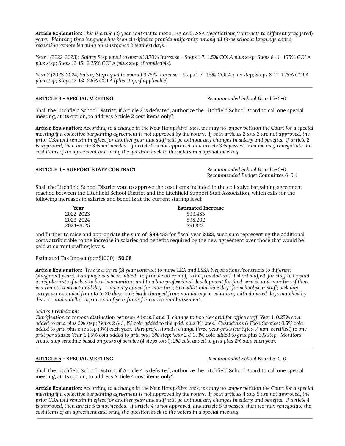**Article Explanation:** This is a two (2) year contract to move LEA and LSSA Negotiations/contracts to different (staggered) *years. Planning time language has been clarified to provide uniformity among all three schools; language added regarding remote learning on emergency (weather) days.*

Year 1 (2022-2023): Salary Step equal to overall 3.70% Increase - Steps 1-7: 1.5% COLA plus step; Steps 8-11: 1.75% COLA *plus step; Steps 12-15: 2.25% COLA (plus step, if applicable).*

Year 2 (2023-2024):Salary Step equal to overall 3.76% Increase - Steps 1-7: 1.5% COLA plus step; Steps 8-11: 1.75% COLA *plus step; Steps 12-15: 2.5% COLA (plus step, if applicable).*

#### **ARTICLE 3 - SPECIAL MEETING** *Recommended School Board 5-0-0*

Shall the Litchfield School District, if Article 2 is defeated, authorize the Litchfield School Board to call one special meeting, at its option, to address Article 2 cost items only?

Article Explanation: According to a change in the New Hampshire laws, we may no longer petition the Court for a special meeting if a collective bargaining agreement is not approved by the voters. If both articles 2 and 3 are not approved, the prior CBA will remain in effect for another year and staff will go without any changes in salary and benefits. If article 2 is approved, then article 3 is not needed. If article 2 is not approved, and article 3 is passed, then we may renegotiate the *cost items of an agreement and bring the question back to the voters in a special meeting.*

#### **ARTICLE 4 - SUPPORT STAFF CONTRACT** *Recommended School Board 5-0-0*

*Recommended Budget Committee 6-0-1*

Shall the Litchfield School District vote to approve the cost items included in the collective bargaining agreement reached between the Litchfield School District and the Litchfield Support Staff Association, which calls for the following increases in salaries and benefits at the current staffing level:

| Year      | <b>Estimated Increase</b> |  |
|-----------|---------------------------|--|
| 2022-2023 | \$99,433                  |  |
| 2023-2024 | \$98,202                  |  |
| 2024-2025 | S91.822                   |  |

and further to raise and appropriate the sum of **\$99,433** for fiscal year **2023**, such sum representing the additional costs attributable to the increase in salaries and benefits required by the new agreement over those that would be paid at current staffing levels.

Estimated Tax Impact (per \$1000): **\$0.08**

**Article Explanation:** This is a three (3) year contract to move LEA and LSSA Negotiations/contracts to different (staggered) years. Language has been added: to provide other staff to help custodians if short staffed; for staff to be paid at regular rate if asked to be a bus monitor; and to allow professional development for food service and monitors if there is a remote instructional day. Longevity added for monitors; two additional sick days for school year staff; sick day carryover extended from 15 to 20 days; sick bank changed from mandatory to voluntary with donated days matched by *district; and a dollar cap on end of year funds for course reimbursement.*

*Salary Breakdown:*

Clarification to remove distinction between Admin I and II; change to two tier grid for office staff; Year 1, 0.25% cola added to grid plus 3% step; Years 2 & 3, 1% cola added to the grid, plus 3% step. Custodians & Food Service: 0.5% cola added to grid plus one step (3%) each year. Paraprofessionals: change three year grids (certified / non-certified) to one grid per status; Year 1, 1.5% cola added to grid plus 3% step; Year 2 & 3, 1% cola added to grid plus 3% step. Monitors: create step schedule based on years of service (4 steps total); 2% cola added to grid plus 2% step each year.

#### **ARTICLE 5 - SPECIAL MEETING** *Recommended School Board 5-0-0*

Shall the Litchfield School District, if Article 4 is defeated, authorize the Litchfield School Board to call one special meeting, at its option, to address Article 4 cost items only?

Article Explanation: According to a change in the New Hampshire laws, we may no longer petition the Court for a special meeting if a collective bargaining agreement is not approved by the voters. If both articles 4 and 5 are not approved, the prior CBA will remain in effect for another year and staff will go without any changes in salary and benefits. If article 4 is approved, then article 5 is not needed. If article 4 is not approved, and article 5 is passed, then we may renegotiate the *cost items of an agreement and bring the question back to the voters in a special meeting.*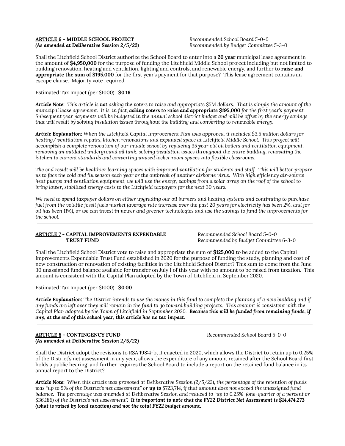#### **ARTICLE 6 - MIDDLE SCHOOL PROJECT** *Recommended School Board 5-0-0 (As amended at Deliberative Session 2/5/22) Recommended by Budget Committee 5-3-0*

Shall the Litchfield School District authorize the School Board to enter into a **20 year** municipal lease agreement in the amount of **\$4,950,000** for the purpose of funding the Litchfield Middle School project including but not limited to building renovation, heating and ventilation, lighting and controls, and renewable energy, and further to **raise and appropriate the sum of \$195,000** for the first year's payment for that purpose? This lease agreement contains an escape clause. Majority vote required.

Estimated Tax Impact (per \$1000): **\$0.16**

Article Note: This article is not asking the voters to raise and appropriate \$5M dollars. That is simply the amount of the municipal lease agreement. It is, in fact, **asking voters to raise and appropriate \$195,000** for the first year's payment. Subsequent year payments will be budgeted in the annual school district budget and will be offset by the energy savings *that will result by solving insulation issues throughout the building and converting to renewable energy.*

Article Explanation: When the Litchfield Capital Improvement Plan was approved, it included \$3.5 million dollars for *heating/ ventilation repairs, kitchen renovations and expanded space at Litchfield Middle School. This project will* accomplish a complete renovation of our middle school by replacing 35 year old oil boilers and ventilation equipment, *removing an outdated underground oil tank, solving insulation issues throughout the entire building, renovating the kitchen to current standards and converting unused locker room spaces into flexible classrooms.*

The end result will be healthier learning spaces with improved ventilation for students and staff. This will better prepare us to face the cold and flu season each year or the outbreak of another airborne virus. With high efficiency air-source heat pumps and ventilation equipment, we will use the energy savings from a solar array on the roof of the school to *bring lower, stabilized energy costs to the Litchfield taxpayers for the next 30 years.*

We need to spend taxpayer dollars on either upgrading our oil burners and heating systems and continuing to purchase fuel from the volatile fossil fuels market (average rate increase over the past 20 years for electricity has been 2%, and for oil has been 11%), or we can invest in newer and greener technologies and use the savings to fund the improvements for *the school.*

#### **ARTICLE 7 - CAPITAL IMPROVEMENTS EXPENDABLE** *Recommended School Board 5-0-0* **TRUST FUND** *Recommended by Budget Committee 6-3-0*

Shall the Litchfield School District vote to raise and appropriate the sum of **\$125,000** to be added to the Capital Improvements Expendable Trust Fund established in 2020 for the purpose of funding the study, planning and cost of new construction or renovation of existing facilities in the Litchfield School District? This sum to come from the June 30 unassigned fund balance available for transfer on July 1 of this year with no amount to be raised from taxation. This amount is consistent with the Capital Plan adopted by the Town of Litchfield in September 2020.

Estimated Tax Impact (per \$1000): **\$0.00**

Article Explanation: The District intends to use the money in this fund to complete the planning of a new building and if any funds are left over they will remain in the fund to go toward building projects. This amount is consistent with the Capital Plan adopted by the Town of Litchfield in September 2020. **Because this will be funded from remaining funds, if** *any, at the end of this school year, this article has no tax impact.*

#### **ARTICLE 8 - CONTINGENCY FUND** *Recommended School Board 5-0-0 (As amended at Deliberative Session 2/5/22)*

Shall the District adopt the revisions to RSA 198:4-b, II enacted in 2020, which allows the District to retain up to 0.25% of the District's net assessment in any year, allows the expenditure of any amount retained after the School Board first holds a public hearing, and further requires the School Board to include a report on the retained fund balance in its annual report to the District?

Article Note: When this article was proposed at Deliberative Session (2/5/22), the percentage of the retention of funds was "up to 5% of the District's net assessment" or **up to** \$723,714, if that amount does not exceed the unassigned fund balance. The percentage was amended at Deliberative Session and reduced to "up to 0.25% (one-quarter of a percent or \$36,186) of the District's net assessment". It is important to note that the FY22 District Net Assessment is \$14,474,273 *(what is raised by local taxation) and not the total FY22 budget amount.*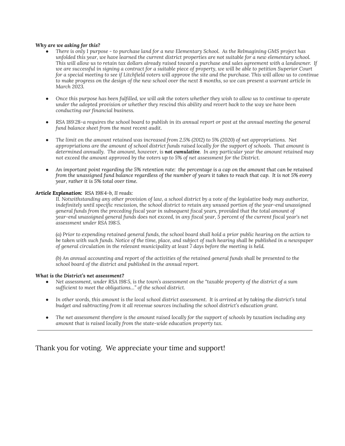#### *Why are we asking for this?*

- There is only 1 purpose to purchase land for a new Elementary School. As the Relmagining GMS project has unfolded this year, we have learned the current district properties are not suitable for a new elementary school. This will allow us to retain tax dollars already raised toward a purchase and sales agreement with a landowner. If we are successful in signing a contract for a suitable piece of property, we will be able to petition Superior Court for a special meeting to see if Litchfield voters will approve the site and the purchase. This will allow us to continue to make progress on the design of the new school over the next 8 months, so we can present a warrant article in *March 2023.*
- Once this purpose has been fulfilled, we will ask the voters whether they wish to allow us to continue to operate under the adopted provision or whether they rescind this ability and revert back to the way we have been *conducting our financial business.*
- RSA 189:28-a requires the school board to publish in its annual report or post at the annual meeting the general *fund balance sheet from the most recent audit.*
- The limit on the amount retained was increased from 2.5% (2012) to 5% (2020) of net appropriations. Net appropriations are the amount of school district funds raised locally for the support of schools. That amount is determined annually. The amount, however, is not cumulative. In any particular year the amount retained may *not exceed the amount approved by the voters up to 5% of net assessment for the District.*
- An important point regarding the 5% retention rate: the percentage is a cap on the amount that can be retained from the unassigned fund balance regardless of the number of years it takes to reach that cap. It is not 5% every *year, rather it is 5% total over time.*

#### *Article Explanation: RSA 198:4-b, II reads:*

II. Notwithstanding any other provision of law, a school district by a vote of the legislative body may authorize, indefinitely until specific rescission, the school district to retain any unused portion of the year-end unassigned general funds from the preceding fiscal year in subsequent fiscal years, provided that the total amount of year-end unassigned general funds does not exceed, in any fiscal year, 5 percent of the current fiscal year's net *assessment under RSA 198:5.*

(a) Prior to expending retained general funds, the school board shall hold a prior public hearing on the action to be taken with such funds. Notice of the time, place, and subject of such hearing shall be published in a newspaper *of general circulation in the relevant municipality at least 7 days before the meeting is held.*

(b) An annual accounting and report of the activities of the retained general funds shall be presented to the *school board of the district and published in the annual report.*

#### *What is the District's net assessment?*

- Net assessment, under RSA 198:5, is the town's assessment on the "taxable property of the district of a sum *sufficient to meet the obligations…" of the school district.*
- In other words, this amount is the local school district assessment. It is arrived at by taking the district's total *budget and subtracting from it all revenue sources including the school district's education grant.*
- The net assessment therefore is the amount raised locally for the support of schools by taxation including any *amount that is raised locally from the state-wide education property tax.*

Thank you for voting. We appreciate your time and support!